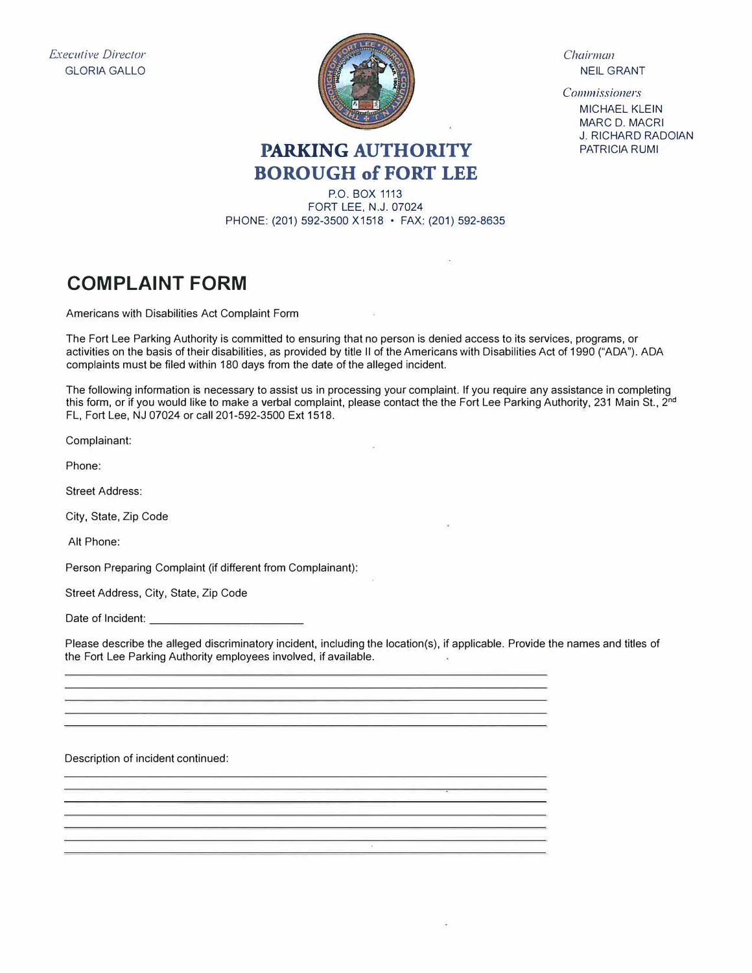*Executive Director*  GLORIA GALLO



*Chairman*  NEIL GRANT

*Commissioners*  MICHAEL KLEIN MARC D. MACRI J. RICHARD RADOIAN PATRICIA RUMI

## **PARKING AUTHORITY BOROUGH of FORT LEE**

P.O. BOX 1113 FORT LEE, N.J. 07024 PHONE: (201) 592-3500 X1518 • FAX: (201) 592-8635

## **COMPLAINT FORM**

Americans with Disabilities Act Complaint Form

The Fort Lee Parking Authority is committed to ensuring that no person is denied access to its services, programs, or activities on the basis of their disabilities, as provided by title 11 of the Americans with Disabilities Act of 1990 ("ADA"). ADA complaints must be filed within 180 days from the date of the alleged incident.

 $\sim$ 

The following information is necessary to assist us in processing your complaint. If you require any assistance in completing this form, or if you would like to make a verbal complaint, please contact the the Fort Lee Parking Authority, 231 Main St., 2<sup>nd</sup> FL, Fort Lee, NJ 07024 or call 201-592-3500 Ext 1518.

Complainant:

Phone:

Street Address:

City, State, Zip Code

Alt Phone:

Person Preparing Complaint (if different from Complainant):

Street Address, City, State, Zip Code

Date of Incident:

Please describe the alleged discriminatory incident, including the location(s), if applicable. Provide the names and titles of the Fort Lee Parking Authority employees involved, if available.

Description of incident continued: